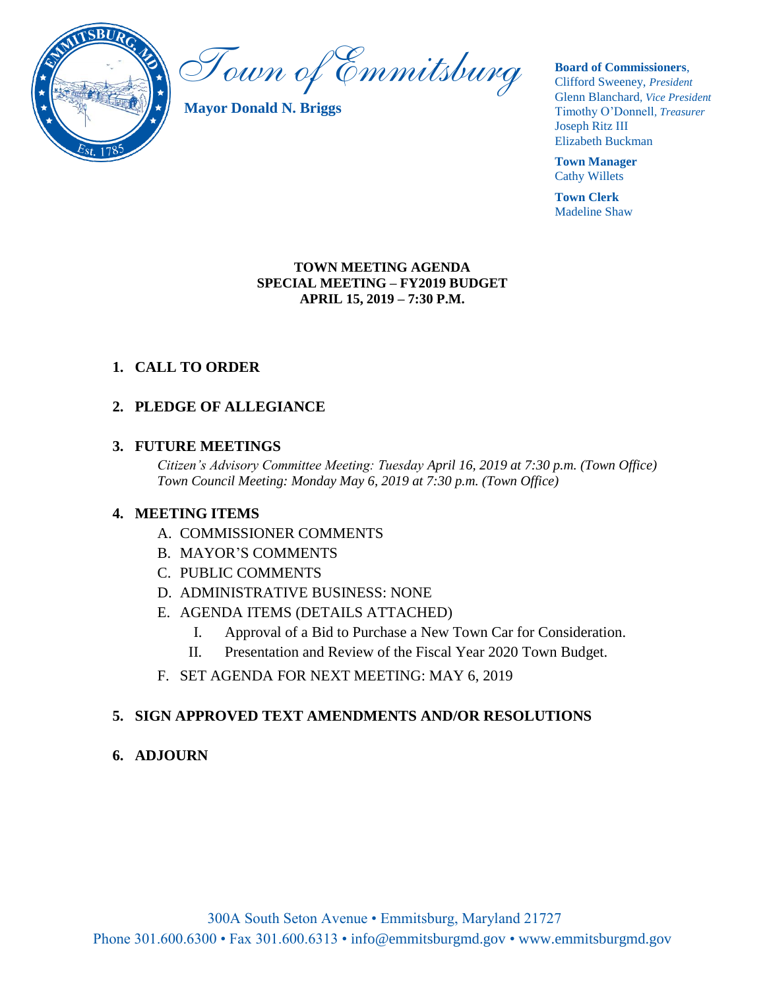

Town of Emmitsburg

**Mayor Donald N. Briggs**

**Board of Commissioners**,

Clifford Sweeney, *President* Glenn Blanchard*, Vice President* Timothy O'Donnell*, Treasurer*  Joseph Ritz III Elizabeth Buckman

**Town Manager** Cathy Willets

**Town Clerk** Madeline Shaw

#### **TOWN MEETING AGENDA SPECIAL MEETING – FY2019 BUDGET APRIL 15, 2019 – 7:30 P.M.**

## **1. CALL TO ORDER**

## **2. PLEDGE OF ALLEGIANCE**

## **3. FUTURE MEETINGS**

*Citizen's Advisory Committee Meeting: Tuesday April 16, 2019 at 7:30 p.m. (Town Office) Town Council Meeting: Monday May 6, 2019 at 7:30 p.m. (Town Office)*

### **4. MEETING ITEMS**

- A. COMMISSIONER COMMENTS
- B. MAYOR'S COMMENTS
- C. PUBLIC COMMENTS
- D. ADMINISTRATIVE BUSINESS: NONE
- E. AGENDA ITEMS (DETAILS ATTACHED)
	- I. Approval of a Bid to Purchase a New Town Car for Consideration.
	- II. Presentation and Review of the Fiscal Year 2020 Town Budget.
- F. SET AGENDA FOR NEXT MEETING: MAY 6, 2019

## **5. SIGN APPROVED TEXT AMENDMENTS AND/OR RESOLUTIONS**

## **6. ADJOURN**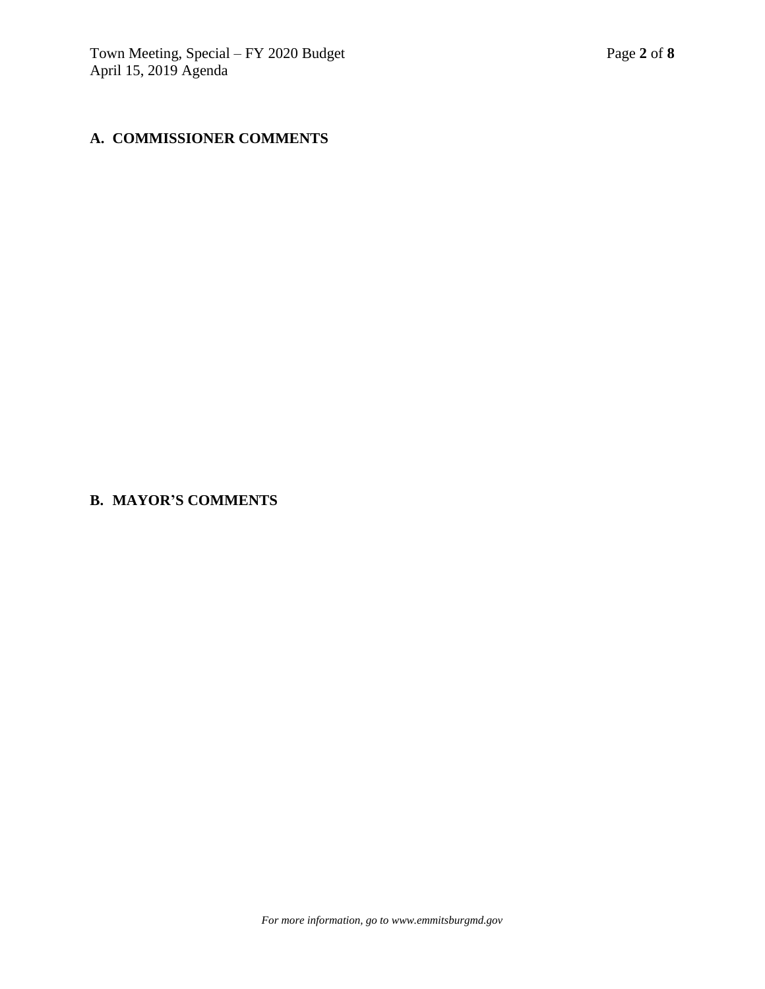## **A. COMMISSIONER COMMENTS**

**B. MAYOR'S COMMENTS**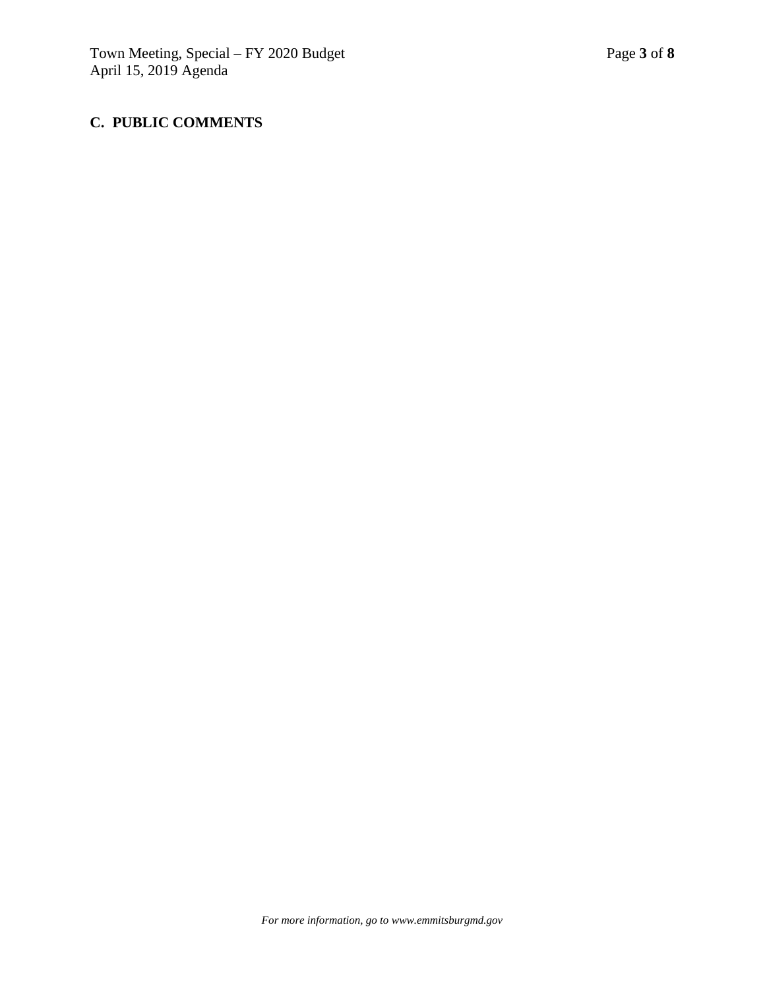## **C. PUBLIC COMMENTS**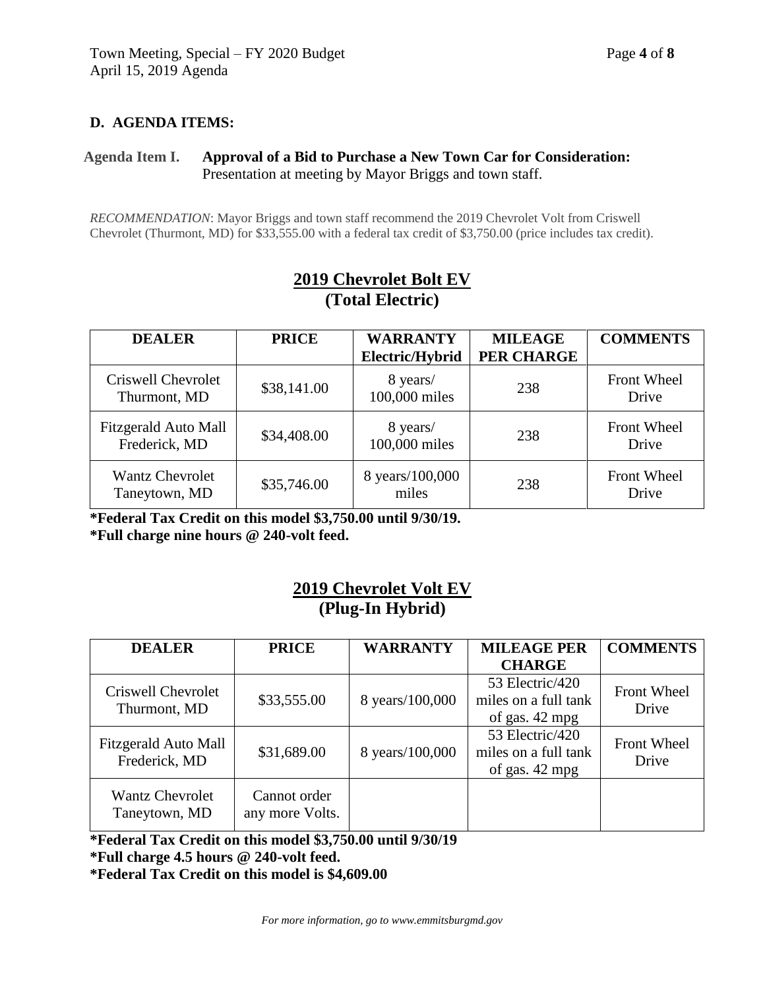### **D. AGENDA ITEMS:**

### **Agenda Item I. Approval of a Bid to Purchase a New Town Car for Consideration:** Presentation at meeting by Mayor Briggs and town staff.

*RECOMMENDATION*: Mayor Briggs and town staff recommend the 2019 Chevrolet Volt from Criswell Chevrolet (Thurmont, MD) for \$33,555.00 with a federal tax credit of \$3,750.00 (price includes tax credit).

| <b>DEALER</b>                           | <b>PRICE</b> | <b>WARRANTY</b><br>Electric/Hybrid | <b>MILEAGE</b><br>PER CHARGE | <b>COMMENTS</b>             |
|-----------------------------------------|--------------|------------------------------------|------------------------------|-----------------------------|
| Criswell Chevrolet<br>Thurmont, MD      | \$38,141.00  | 8 years/<br>100,000 miles          | 238                          | <b>Front Wheel</b><br>Drive |
| Fitzgerald Auto Mall<br>Frederick, MD   | \$34,408.00  | 8 years/<br>100,000 miles          | 238                          | <b>Front Wheel</b><br>Drive |
| <b>Wantz Chevrolet</b><br>Taneytown, MD | \$35,746.00  | 8 years/100,000<br>miles           | 238                          | <b>Front Wheel</b><br>Drive |

## **2019 Chevrolet Bolt EV (Total Electric)**

**\*Federal Tax Credit on this model \$3,750.00 until 9/30/19. \*Full charge nine hours @ 240-volt feed.**

## **2019 Chevrolet Volt EV (Plug-In Hybrid)**

| <b>DEALER</b>                           | <b>PRICE</b>                    | <b>WARRANTY</b> | <b>MILEAGE PER</b>                                        | <b>COMMENTS</b>             |
|-----------------------------------------|---------------------------------|-----------------|-----------------------------------------------------------|-----------------------------|
|                                         |                                 |                 | <b>CHARGE</b>                                             |                             |
| Criswell Chevrolet<br>Thurmont, MD      | \$33,555.00                     | 8 years/100,000 | 53 Electric/420<br>miles on a full tank<br>of gas. 42 mpg | Front Wheel<br>Drive        |
| Fitzgerald Auto Mall<br>Frederick, MD   | \$31,689.00                     | 8 years/100,000 | 53 Electric/420<br>miles on a full tank<br>of gas. 42 mpg | <b>Front Wheel</b><br>Drive |
| <b>Wantz Chevrolet</b><br>Taneytown, MD | Cannot order<br>any more Volts. |                 |                                                           |                             |

**\*Federal Tax Credit on this model \$3,750.00 until 9/30/19 \*Full charge 4.5 hours @ 240-volt feed. \*Federal Tax Credit on this model is \$4,609.00**

*For more information, go to www.emmitsburgmd.gov*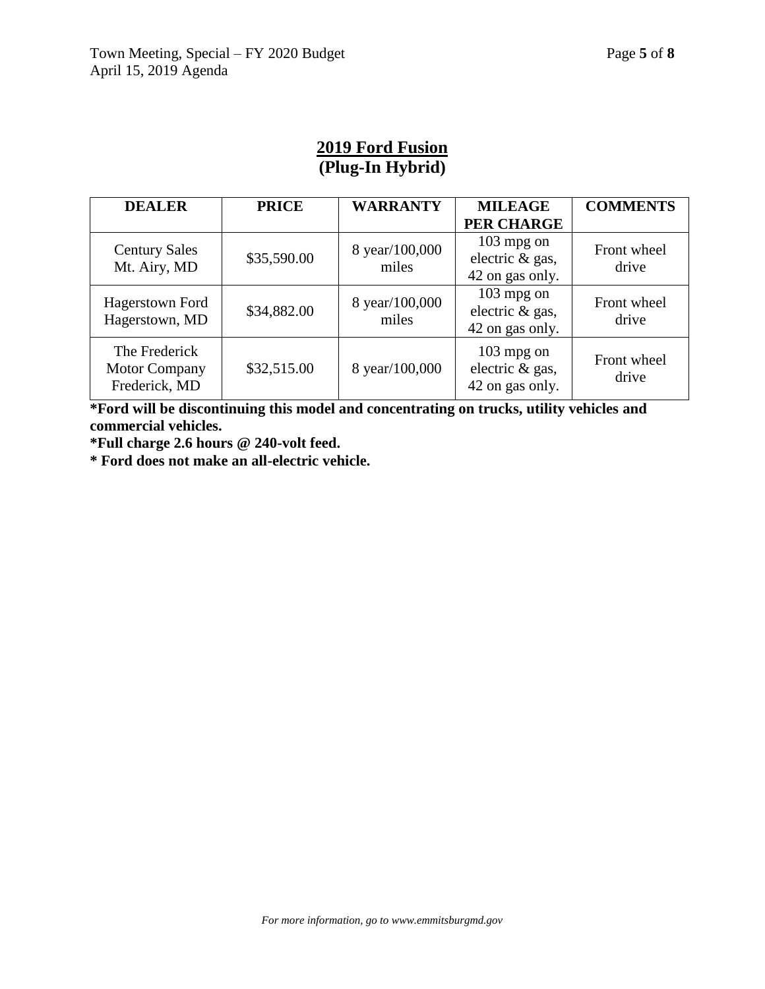# **2019 Ford Fusion (Plug-In Hybrid)**

| <b>DEALER</b>                                          | <b>PRICE</b> | <b>WARRANTY</b>         | <b>MILEAGE</b>                                     | <b>COMMENTS</b>      |
|--------------------------------------------------------|--------------|-------------------------|----------------------------------------------------|----------------------|
|                                                        |              |                         | <b>PER CHARGE</b>                                  |                      |
| <b>Century Sales</b><br>Mt. Airy, MD                   | \$35,590.00  | 8 year/100,000<br>miles | $103$ mpg on<br>electric & gas,<br>42 on gas only. | Front wheel<br>drive |
| <b>Hagerstown Ford</b><br>Hagerstown, MD               | \$34,882.00  | 8 year/100,000<br>miles | $103$ mpg on<br>electric & gas,<br>42 on gas only. | Front wheel<br>drive |
| The Frederick<br><b>Motor Company</b><br>Frederick, MD | \$32,515.00  | 8 year/100,000          | $103$ mpg on<br>electric & gas,<br>42 on gas only. | Front wheel<br>drive |

**\*Ford will be discontinuing this model and concentrating on trucks, utility vehicles and commercial vehicles.**

**\*Full charge 2.6 hours @ 240-volt feed.**

**\* Ford does not make an all-electric vehicle.**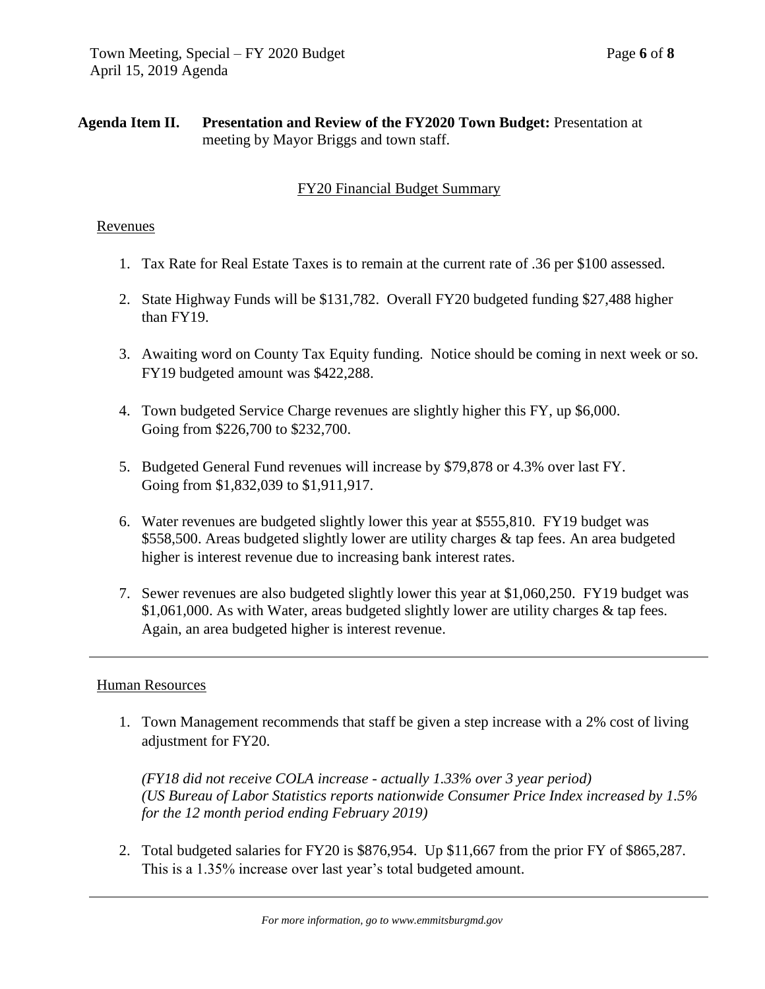### **Agenda Item II. Presentation and Review of the FY2020 Town Budget:** Presentation at meeting by Mayor Briggs and town staff.

### FY20 Financial Budget Summary

#### Revenues

- 1. Tax Rate for Real Estate Taxes is to remain at the current rate of .36 per \$100 assessed.
- 2. State Highway Funds will be \$131,782. Overall FY20 budgeted funding \$27,488 higher than FY19.
- 3. Awaiting word on County Tax Equity funding. Notice should be coming in next week or so. FY19 budgeted amount was \$422,288.
- 4. Town budgeted Service Charge revenues are slightly higher this FY, up \$6,000. Going from \$226,700 to \$232,700.
- 5. Budgeted General Fund revenues will increase by \$79,878 or 4.3% over last FY. Going from \$1,832,039 to \$1,911,917.
- 6. Water revenues are budgeted slightly lower this year at \$555,810. FY19 budget was \$558,500. Areas budgeted slightly lower are utility charges & tap fees. An area budgeted higher is interest revenue due to increasing bank interest rates.
- 7. Sewer revenues are also budgeted slightly lower this year at \$1,060,250. FY19 budget was \$1,061,000. As with Water, areas budgeted slightly lower are utility charges & tap fees. Again, an area budgeted higher is interest revenue.

#### Human Resources

1. Town Management recommends that staff be given a step increase with a 2% cost of living adjustment for FY20.

*(FY18 did not receive COLA increase - actually 1.33% over 3 year period) (US Bureau of Labor Statistics reports nationwide Consumer Price Index increased by 1.5% for the 12 month period ending February 2019)*

2. Total budgeted salaries for FY20 is \$876,954. Up \$11,667 from the prior FY of \$865,287. This is a 1.35% increase over last year's total budgeted amount.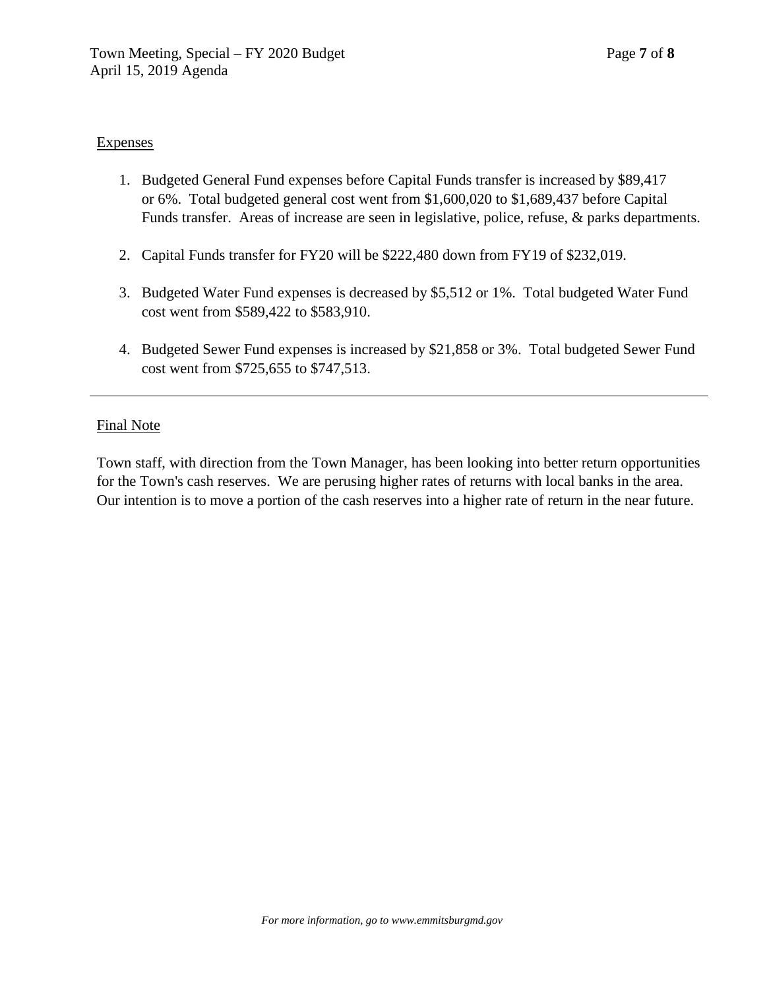### **Expenses**

- 1. Budgeted General Fund expenses before Capital Funds transfer is increased by \$89,417 or 6%. Total budgeted general cost went from \$1,600,020 to \$1,689,437 before Capital Funds transfer. Areas of increase are seen in legislative, police, refuse, & parks departments.
- 2. Capital Funds transfer for FY20 will be \$222,480 down from FY19 of \$232,019.
- 3. Budgeted Water Fund expenses is decreased by \$5,512 or 1%. Total budgeted Water Fund cost went from \$589,422 to \$583,910.
- 4. Budgeted Sewer Fund expenses is increased by \$21,858 or 3%. Total budgeted Sewer Fund cost went from \$725,655 to \$747,513.

### Final Note

Town staff, with direction from the Town Manager, has been looking into better return opportunities for the Town's cash reserves. We are perusing higher rates of returns with local banks in the area. Our intention is to move a portion of the cash reserves into a higher rate of return in the near future.